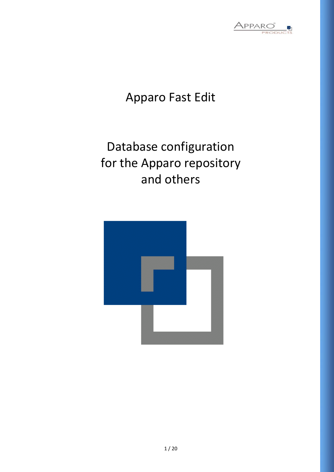

## Apparo Fast Edit

# Database configuration for the Apparo repository and others

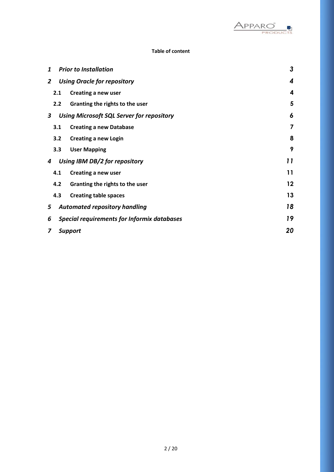

## **Table of content**

| 1 | <b>Prior to Installation</b> |                                                  |    |  |  |  |  |
|---|------------------------------|--------------------------------------------------|----|--|--|--|--|
| 2 |                              | <b>Using Oracle for repository</b>               | 4  |  |  |  |  |
|   | 2.1                          | Creating a new user                              | 4  |  |  |  |  |
|   | 2.2                          | Granting the rights to the user                  | 5  |  |  |  |  |
| 3 |                              | <b>Using Microsoft SQL Server for repository</b> | 6  |  |  |  |  |
|   | 3.1                          | <b>Creating a new Database</b>                   | 7  |  |  |  |  |
|   | 3.2                          | <b>Creating a new Login</b>                      | 8  |  |  |  |  |
|   | 3.3                          | <b>User Mapping</b>                              | 9  |  |  |  |  |
| 4 |                              | Using IBM DB/2 for repository                    | 11 |  |  |  |  |
|   | 4.1                          | Creating a new user                              | 11 |  |  |  |  |
|   | 4.2                          | Granting the rights to the user                  | 12 |  |  |  |  |
|   | 4.3                          | <b>Creating table spaces</b>                     | 13 |  |  |  |  |
| 5 |                              | <b>Automated repository handling</b>             | 18 |  |  |  |  |
| 6 |                              | Special requirements for Informix databases      | 19 |  |  |  |  |
| 7 | 20<br><b>Support</b>         |                                                  |    |  |  |  |  |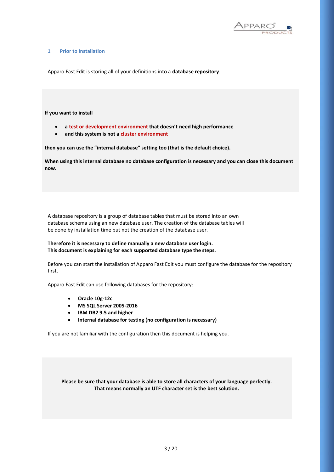

#### **1 Prior to Installation**

Apparo Fast Edit is storing all of your definitions into a **database repository**.

#### **If you want to install**

- **a test or development environment that doesn't need high performance**
- **and this system is not a cluster environment**

**then you can use the "internal database" setting too (that is the default choice).**

**When using this internal database no database configuration is necessary and you can close this document now.**

A database repository is a group of database tables that must be stored into an own database schema using an new database user. The creation of the database tables will be done by installation time but not the creation of the database user.

#### **Therefore it is necessary to define manually a new database user login. This document is explaining for each supported database type the steps.**

Before you can start the installation of Apparo Fast Edit you must configure the database for the repository first.

Apparo Fast Edit can use following databases for the repository:

- **Oracle 10g-12c**
- **MS SQL Server 2005-2016**
- **IBM DB2 9.5 and higher**
- **Internal database for testing (no configuration is necessary)**

If you are not familiar with the configuration then this document is helping you.

**Please be sure that your database is able to store all characters of your language perfectly. That means normally an UTF character set is the best solution.**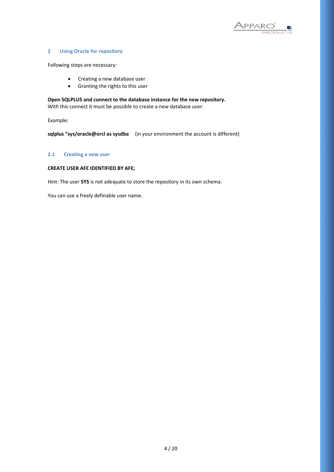

#### **2 Using Oracle for repository**

Following steps are necessary:

- Creating a new database user
- Granting the rights to this user

**Open SQLPLUS and connect to the database instance for the new repository.**  With this connect it must be possible to create a new database user:

Example:

**sqlplus "sys/oracle@orcl as sysdba** (in your environment the account is different)

#### **2.1 Creating a new user**

### **CREATE USER AFE IDENTIFIED BY AFE;**

Hint: The user **SYS** is not adequate to store the repository in its own schema.

You can use a freely definable user name.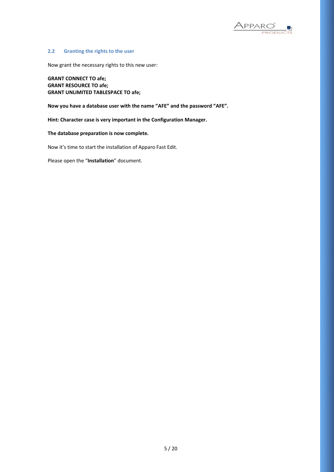

#### **2.2 Granting the rights to the user**

Now grant the necessary rights to this new user:

**GRANT CONNECT TO afe; GRANT RESOURCE TO afe; GRANT UNLIMITED TABLESPACE TO afe;**

**Now you have a database user with the name "AFE" and the password "AFE".**

**Hint: Character case is very important in the Configuration Manager.**

**The database preparation is now complete.**

Now it's time to start the installation of Apparo Fast Edit.

Please open the "**Installation**" document.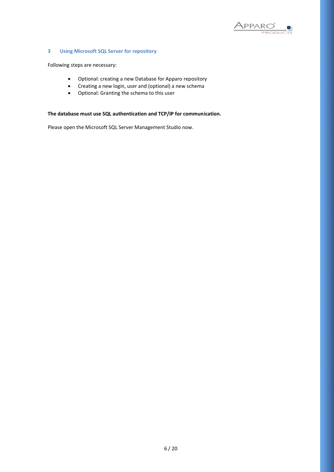

## **3 Using Microsoft SQL Server for repository**

Following steps are necessary:

- Optional: creating a new Database for Apparo repository
- Creating a new login, user and (optional) a new schema
- Optional: Granting the schema to this user

## **The database must use SQL authentication and TCP/IP for communication.**

Please open the Microsoft SQL Server Management Studio now.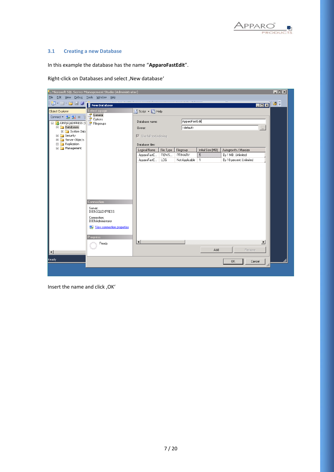

## **3.1 Creating a new Database**

In this example the database has the name "**ApparoFastEdit**".

Right-click on Databases and select , New database'

|                                        | Microsoft SQL Server Management Studio (Administrator) |                                               |                                  |                      |                     |                                            | $ \Box$ $\times$ |  |  |
|----------------------------------------|--------------------------------------------------------|-----------------------------------------------|----------------------------------|----------------------|---------------------|--------------------------------------------|------------------|--|--|
| File Edit View Debug Tools Window Help |                                                        |                                               |                                  |                      |                     |                                            |                  |  |  |
| 御・酒・后日 劇                               | New Database                                           |                                               |                                  |                      |                     | $\blacksquare$ $\blacksquare$ $\times$     | 29               |  |  |
| Object Explorer                        | Select a page                                          | $\mathbb{S}$ Script $\cdot$ $\mathbb{B}$ Help |                                  |                      |                     |                                            |                  |  |  |
| Connect - 카 방 -                        | General<br>Options                                     |                                               |                                  |                      |                     |                                            |                  |  |  |
| DB9\SQLEXPRESS(S)                      | Filegroups                                             |                                               | ApparoFastEdit<br>Database name: |                      |                     |                                            |                  |  |  |
| Databases<br>El System Data            |                                                        | Owner:                                        |                                  | <default></default>  |                     |                                            |                  |  |  |
| E <b>B</b> Security                    |                                                        | $\nabla$ Use full-text indexing               |                                  |                      |                     |                                            |                  |  |  |
| El Server Objects                      |                                                        |                                               |                                  |                      |                     |                                            |                  |  |  |
| E Replication<br>El Management         |                                                        | Database files:                               |                                  |                      |                     |                                            |                  |  |  |
|                                        |                                                        | Logical Name                                  | File Type                        | Filegroup<br>PRIMARY | Initial Size (MB)   | Autogrowth / Maxsize<br>By 1 MB, Unlimited |                  |  |  |
|                                        |                                                        | ApparoFastE<br>ApparoFastE                    | ROWS<br>LOG.                     | Not Applicable       | 5<br>$\overline{1}$ | By 10 percent, Unlimited                   |                  |  |  |
|                                        |                                                        |                                               |                                  |                      |                     |                                            |                  |  |  |
|                                        |                                                        |                                               |                                  |                      |                     |                                            |                  |  |  |
|                                        |                                                        |                                               |                                  |                      |                     |                                            |                  |  |  |
|                                        |                                                        |                                               |                                  |                      |                     |                                            |                  |  |  |
|                                        |                                                        |                                               |                                  |                      |                     |                                            |                  |  |  |
|                                        | <b>Connection</b>                                      |                                               |                                  |                      |                     |                                            |                  |  |  |
|                                        | Server:<br>DB9\SQLEXPRESS                              |                                               |                                  |                      |                     |                                            |                  |  |  |
|                                        | Connection:<br>DB9\Administrator                       |                                               |                                  |                      |                     |                                            |                  |  |  |
|                                        | View connection properties                             |                                               |                                  |                      |                     |                                            |                  |  |  |
|                                        | <b>Progress</b>                                        |                                               |                                  |                      |                     |                                            |                  |  |  |
|                                        | Ready                                                  | $\left  \right $                              |                                  |                      |                     | $\blacktriangleright$                      |                  |  |  |
|                                        | $\tilde{\gamma}^{(1)}$                                 |                                               |                                  |                      | Add                 | Remove                                     |                  |  |  |
| $\vert \cdot \vert$                    |                                                        |                                               |                                  |                      |                     |                                            |                  |  |  |
| <b>Ready</b>                           |                                                        |                                               |                                  |                      |                     | <b>OK</b><br>Cancel                        |                  |  |  |
|                                        |                                                        |                                               |                                  |                      |                     |                                            | h                |  |  |
|                                        |                                                        |                                               |                                  |                      |                     |                                            |                  |  |  |

Insert the name and click, OK'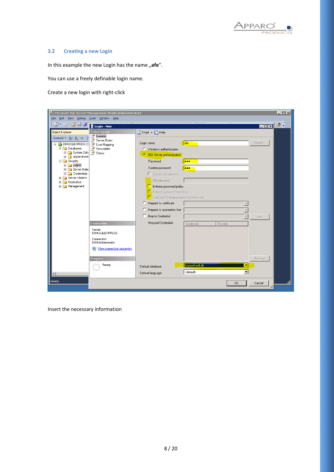

## **3.2 Creating a new Login**

In this example the new Login has the name "afe".

You can use a freely definable login name.

Create a new login with right-click

| $\Box$ o $\Box$<br>Microsoft SQL Server Management Studio (Administrator)<br>File Edit View Debug<br>Tools Window Help |                                  |                                                                                                |                                       |                         |                   |               |  |  |
|------------------------------------------------------------------------------------------------------------------------|----------------------------------|------------------------------------------------------------------------------------------------|---------------------------------------|-------------------------|-------------------|---------------|--|--|
| : <mark>御 · 涸 · 彦 日 タ</mark>                                                                                           | Login - New                      |                                                                                                |                                       |                         | $\Box$ o $\times$ | $\rightarrow$ |  |  |
| Object Explorer                                                                                                        | Select a page<br>General         | S Script - B Help                                                                              |                                       |                         |                   |               |  |  |
| Connect - 카 랑 그<br>□ BPISQLEXPRESS (S BPIS) User Mapping<br>Databases<br>El System Data Re Status<br>E ApparoFastE     | Server Roles<br>Securables       | Login name:<br>C Windows authentication<br>○ SQL Server authentication                         | lafe                                  |                         | Search            |               |  |  |
| $\Box$ Security<br>$\Box$ Logins<br>E Server Roles<br>E Credentials                                                    |                                  | Password:<br>Confirm password:<br>Specify old password                                         | less:<br><b>lees</b>                  |                         |                   |               |  |  |
| E Server Objects<br>E Replication<br>E Management                                                                      |                                  | Old password:<br>Enforce password policy<br>Enforce password expiration                        |                                       |                         |                   |               |  |  |
|                                                                                                                        |                                  | User must change password at next login<br>C Mapped to certificate<br>Mapped to asymmetric key |                                       |                         |                   |               |  |  |
|                                                                                                                        |                                  | Map to Credential                                                                              |                                       | $\overline{\mathbf{v}}$ | Add               |               |  |  |
|                                                                                                                        | Connection                       | Mapped Credentials                                                                             | Credential                            | Provider                |                   |               |  |  |
|                                                                                                                        | Server:<br>DB9\SQLEXPRESS        |                                                                                                |                                       |                         |                   |               |  |  |
|                                                                                                                        | Connection:<br>DB9\Administrator |                                                                                                |                                       |                         |                   |               |  |  |
|                                                                                                                        | View connection properties       |                                                                                                |                                       |                         |                   |               |  |  |
|                                                                                                                        | <b>Progress</b>                  |                                                                                                |                                       |                         | Remove            |               |  |  |
|                                                                                                                        | Ready                            | Default database:<br>Default language:                                                         | ApparoFastE di<br><default></default> | ٠                       |                   |               |  |  |
|                                                                                                                        |                                  |                                                                                                |                                       |                         |                   |               |  |  |
| Ready                                                                                                                  |                                  |                                                                                                |                                       | <b>OK</b>               | Cancel<br>h       |               |  |  |

Insert the necessary information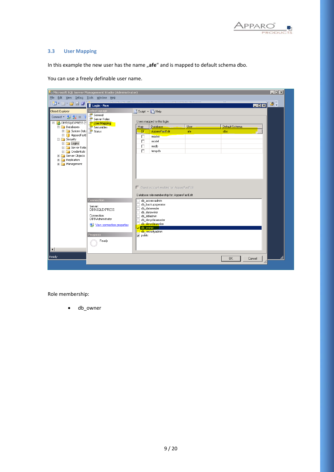

#### **3.3 User Mapping**

In this example the new user has the name "afe" and is mapped to default schema dbo.

Microsoft SQL Server Management Studio (Administrator)  $L = x$ File Edit View Debug Tools Window Help || T + 四 + 2 H 3 | T Login - New <mark>L⊡x∣</mark>Ø≑ Comet Filippin - New Select a page<br>
Comet Filippin - New Select a page<br>
Comet Filippin - New Select a page<br>
Elimination - System Databases<br>
Elimination - System Databases<br>
Elimination - System Databases<br>
Elimination - Sys Object Explorer  $\mathbb S$  Script  $\mathbf \cdot \mathbb B$  Help Users mapped to this login: Map Database Default Schema  $\overline{\phantom{a}}$  User ApparoFastEdit ு afe dho  $\frac{\Box}{\Box}$ master model Electricy<br>
Electric Logins<br>
Electric Credentials<br>
Electric Credentials  $\frac{1}{\Box}$  $msdb$ tempdb E Server Objects E **D** Replication<br>E **D** Management Guest account enabled for: ApparoFastEdit Database role membership for: ApparoFastEdit  $\overline{\phantom{a}}$  db accessadmin db\_backupoperator Server:<br>DB9\SQLEXPRESS db\_datareader<br>db\_datawriter Connection:<br>DB9\Administrator db ddladmin 」db\_ddiadinin<br>]db\_denydatareader<br>]<mark>db\_denydataw</mark>riter View connection properties db\_owner<br>Downer<br>Dodb\_securityadmin  $\overline{\phantom{a}}$  public  $_{\rm mess}$ Ready ٠I **Ready** Cancel  $\overline{\text{OK}}$ hì

You can use a freely definable user name.

Role membership:

• db owner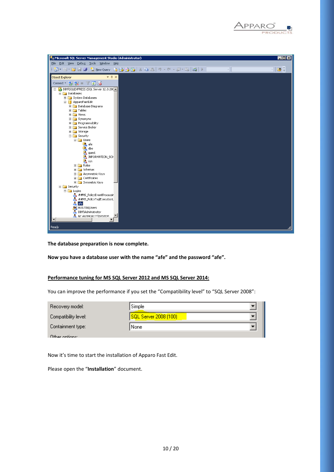

| Microsoft SQL Server Management Studio (Administrator) | $\blacksquare\square$ |
|--------------------------------------------------------|-----------------------|
| File Edit View Debug Tools Window Help                 |                       |
| $\overline{\phantom{a}}$                               | - 8                   |
| $-4x$<br>Object Explorer                               |                       |
| Connect · 野戦 ■ 了 司 届                                   |                       |
| DB9\SQLEXPRESS (SQL Server 12.0.200                    |                       |
| □ Databases                                            |                       |
| Fig. 5ystem Databases                                  |                       |
| □ ApparoFastEdit                                       |                       |
| <b>E</b> Database Diagrams                             |                       |
| E Tables<br>E Views                                    |                       |
| El Synonyms                                            |                       |
| E Programmability                                      |                       |
| <b>El Service Broker</b>                               |                       |
| E Storage                                              |                       |
| □ Security                                             |                       |
| □ <b>b</b> Users                                       |                       |
| <b>La</b> afe                                          |                       |
| A dbo                                                  |                       |
| <b>A</b> guest                                         |                       |
| <b>A</b> INFORMATION_SCH                               |                       |
| <b>LA</b> sys<br>$\Box$ Roles                          |                       |
| E Schemas                                              |                       |
| El Asymmetric Keys                                     |                       |
| E Certificates                                         |                       |
| E Symmetric Keys                                       |                       |
| E Security                                             |                       |
| $\Box$ Logins                                          |                       |
| ##MS_PolicyEventProcessir                              |                       |
| ##MS_PolicyTsqlExecutionL                              |                       |
| $\triangle$ afe<br><b>BUILTIN</b> Users                |                       |
| DB9\Administrator                                      |                       |
| NT AUTHORITY\SYSTEM                                    |                       |
| $\left  \cdot \right $                                 |                       |
| Ready                                                  |                       |
|                                                        |                       |

**The database preparation is now complete.**

**Now you have a database user with the name "afe" and the password "afe".**

## **Performance tuning for MS SQL Server 2012 and MS SQL Server 2014:**

You can improve the performance if you set the "Compatibility level" to "SQL Server 2008":

| Recovery model:      | Simple                |  |
|----------------------|-----------------------|--|
| Compatibility level: | SQL Server 2008 (100) |  |
| Containment type:    | None                  |  |
| Other options:       |                       |  |

Now it's time to start the installation of Apparo Fast Edit.

Please open the "**Installation**" document.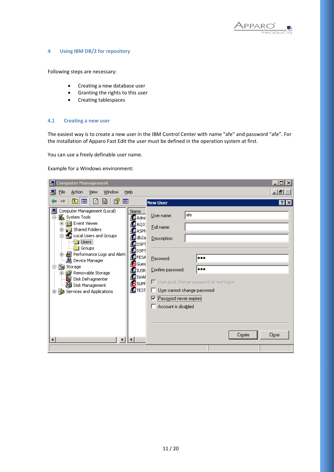

#### **4 Using IBM DB/2 for repository**

Following steps are necessary:

- Creating a new database user
- Granting the rights to this user
- Creating tablespaces

#### **4.1 Creating a new user**

The easiest way is to create a new user in the IBM Control Center with name "afe" and password "afe". For the installation of Apparo Fast Edit the user must be defined in the operation system at first.

You can use a freely definable user name.

Example for a Windows environment:

| 믱<br><b>Computer Management</b>                                                                                                                                                                                                                                                                                                                |                                                                                                                                                                                                                                                                                                                                                                                                                                                    | 그미지               |
|------------------------------------------------------------------------------------------------------------------------------------------------------------------------------------------------------------------------------------------------------------------------------------------------------------------------------------------------|----------------------------------------------------------------------------------------------------------------------------------------------------------------------------------------------------------------------------------------------------------------------------------------------------------------------------------------------------------------------------------------------------------------------------------------------------|-------------------|
| 믜<br>File<br>Action<br>Window<br>Help<br>View                                                                                                                                                                                                                                                                                                  |                                                                                                                                                                                                                                                                                                                                                                                                                                                    | $-1$ and $\times$ |
| B<br>€<br>È<br>◙<br>画<br>面                                                                                                                                                                                                                                                                                                                     | <b>New User</b>                                                                                                                                                                                                                                                                                                                                                                                                                                    | $ ?  \times$      |
| Computer Management (Local)<br>System Tools<br>E<br>由 all Event Viewer<br>由 Shared Folders<br>Local Users and Groups<br>Users<br>Groups<br>Performance Logs and Alert:<br>÷.<br>…… 鳥 Device Manager<br>酱 Storage<br>o-<br>中 <del>會</del> Removable Storage<br><b>B</b> Disk Defragmenter<br>Solisk Management<br>由 5 Services and Applications | Name<br>afe<br>User name:<br><b>B</b> Admi<br><b>野AQ3:</b><br>Eull name:<br><b>E</b> ASPN<br>∰db2a<br>Description:<br><b>K</b> ipset<br><b>K</b> ipset<br><b>B</b> FESA<br><br>Password:<br><b>R</b> iGues<br>Confirm password:<br><br><b>K</b> I WSR<br>∭∑iwari<br>□ User must change password at next logon<br><b>R</b> SUPF<br><b>K</b> TEST<br>User cannot change password<br>Password never expires<br>Account is disabled<br>Close<br>Create |                   |
| Þ<br>$\lvert$                                                                                                                                                                                                                                                                                                                                  |                                                                                                                                                                                                                                                                                                                                                                                                                                                    |                   |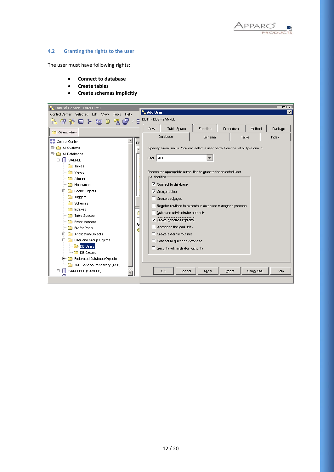

## **4.2 Granting the rights to the user**

The user must have following rights:

- **Connect to database**
- **Create tables**
- **Create schemas implicitly**

| <b>Control Center - DB2COPY1</b>                         |                                                                                                                                 |                                                                               |        |  |       |          | $\overline{m}$ |  |
|----------------------------------------------------------|---------------------------------------------------------------------------------------------------------------------------------|-------------------------------------------------------------------------------|--------|--|-------|----------|----------------|--|
| Control Center Selected<br>Edit<br>Help<br>View<br>Tools | <b>Mar Add User</b>                                                                                                             |                                                                               |        |  |       |          | ⊠              |  |
| e<br>匣<br>七个货回》还日<br>್ಡಾ                                 |                                                                                                                                 | DB11 - DB2 - SAMPLE                                                           |        |  |       |          |                |  |
| Table Space<br>Function<br>Procedure<br>Method<br>View   |                                                                                                                                 |                                                                               |        |  |       |          |                |  |
| Object View                                              |                                                                                                                                 | Database                                                                      | Schema |  | Table |          | Index          |  |
| Control Center<br>DE                                     |                                                                                                                                 |                                                                               |        |  |       |          |                |  |
| All Systems<br>田                                         |                                                                                                                                 | Specify a user name. You can select a user name from the list or type one in. |        |  |       |          |                |  |
| Ė-<br>All Databases                                      |                                                                                                                                 |                                                                               |        |  |       |          |                |  |
| п<br>Ėŀ<br>SAMPLE                                        |                                                                                                                                 | User AFE                                                                      |        |  |       |          |                |  |
| Tables                                                   |                                                                                                                                 |                                                                               |        |  |       |          |                |  |
| Views                                                    |                                                                                                                                 | Choose the appropriate authorities to grant to the selected user.             |        |  |       |          |                |  |
| Aliases                                                  |                                                                                                                                 | <b>Authorities</b>                                                            |        |  |       |          |                |  |
| Nicknames                                                |                                                                                                                                 | $\overline{\triangledown}$ Connect to database                                |        |  |       |          |                |  |
| Cache Objects                                            | $\triangledown$ Create tables                                                                                                   |                                                                               |        |  |       |          |                |  |
| Triggers                                                 | $\Box$ Create packages<br>□ Register routines to execute in database manager's process<br>Database administrator authority<br>С |                                                                               |        |  |       |          |                |  |
| Schemas                                                  |                                                                                                                                 |                                                                               |        |  |       |          |                |  |
| Indexes                                                  |                                                                                                                                 |                                                                               |        |  |       |          |                |  |
| Table Spaces<br><b>Event Monitors</b>                    | $\triangledown$ Create schemas implicitly.                                                                                      |                                                                               |        |  |       |          |                |  |
| A<br><b>Buffer Pools</b>                                 | Access to the load utility                                                                                                      |                                                                               |        |  |       |          |                |  |
| €<br>Application Objects<br>田                            |                                                                                                                                 | □ Create external routines                                                    |        |  |       |          |                |  |
| User and Group Objects<br>o                              |                                                                                                                                 | □ Connect to quiesced database                                                |        |  |       |          |                |  |
| DB Users                                                 |                                                                                                                                 |                                                                               |        |  |       |          |                |  |
| DB Groups                                                |                                                                                                                                 | □ Security administrator authority                                            |        |  |       |          |                |  |
| Federated Database Objects<br>$\overline{+}$             |                                                                                                                                 |                                                                               |        |  |       |          |                |  |
| XML Schema Repository (XSR)                              |                                                                                                                                 |                                                                               |        |  |       |          |                |  |
| SAMPLECL (SAMPLE)<br>田<br>ш                              |                                                                                                                                 | <b>OK</b><br>Cancel                                                           | Apply  |  | Reset | Show SQL | Help           |  |
|                                                          |                                                                                                                                 |                                                                               |        |  |       |          |                |  |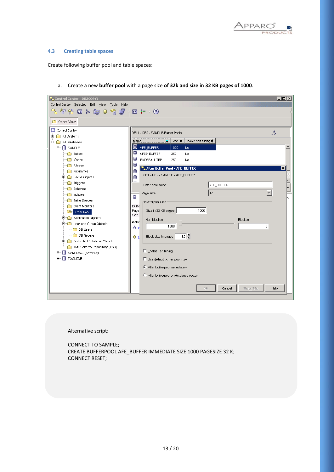

#### **4.3 Creating table spaces**

Create following buffer pool and table spaces:

a. Create a new **buffer pool** with a page size **of 32k and size in 32 KB pages of 1000**.

Alternative script:

CONNECT TO SAMPLE; CREATE BUFFERPOOL AFE\_BUFFER IMMEDIATE SIZE 1000 PAGESIZE 32 K; CONNECT RESET;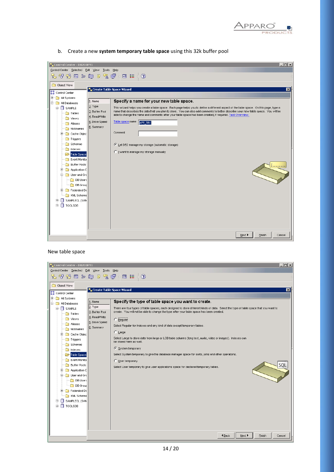

| <b>F</b> Control Center - DB2COPY1        |                           | $\Box$ o $\Box$                                                                                                                                                                                                                                  |
|-------------------------------------------|---------------------------|--------------------------------------------------------------------------------------------------------------------------------------------------------------------------------------------------------------------------------------------------|
| Control Center Selected Edit View         | Tools Help                |                                                                                                                                                                                                                                                  |
| んダな口を磨ます!                                 |                           | 画 】 <<br>$\circledcirc$                                                                                                                                                                                                                          |
| Object View                               |                           |                                                                                                                                                                                                                                                  |
| <b>23</b> Control Center                  | Create Table Space Wizard | ⊠                                                                                                                                                                                                                                                |
| <b>主…</b><br>All Systems                  |                           |                                                                                                                                                                                                                                                  |
| <b>E</b> All Databases                    | 1. Name                   | Specify a name for your new table space.                                                                                                                                                                                                         |
| <b>E-</b> SAMPLE                          | $2.$ Type                 | This wizard helps you create a table space. Each page helps you to define a different aspect of the table space. On this page, type a                                                                                                            |
| Tables                                    | 3. Buffer Pool            | name that describes the data that you plan to store. You can also add comments to better describe your new table space. You will be<br>able to change the name and comments after your table space has been created, if required. Task Overview. |
| Views                                     | 4. Read/Write             |                                                                                                                                                                                                                                                  |
| Aliases                                   | 5. Drive Speed            | Table space name<br>AFE_TB1                                                                                                                                                                                                                      |
| Nicknames<br>ा                            | 6. Summary                |                                                                                                                                                                                                                                                  |
| Cache Objec<br>$+$<br><b>PO</b>           |                           | Comment                                                                                                                                                                                                                                          |
| Triggers<br>n                             |                           |                                                                                                                                                                                                                                                  |
| Schemas<br>ndexes                         |                           | E Let DB2 manage my storage (automatic storage)                                                                                                                                                                                                  |
| Table Spaces                              |                           | C I want to manage my storage manually                                                                                                                                                                                                           |
| Event Monitor<br><b>The Second Street</b> |                           |                                                                                                                                                                                                                                                  |
| <b>Buffer Pools</b><br>n                  |                           |                                                                                                                                                                                                                                                  |
| Application C<br>田…                       |                           |                                                                                                                                                                                                                                                  |
| 白 <b>D</b> User and Gro                   |                           |                                                                                                                                                                                                                                                  |
| DB Users                                  |                           |                                                                                                                                                                                                                                                  |
| DB Group                                  |                           |                                                                                                                                                                                                                                                  |
| Federated Da<br>$\boxplus$                |                           |                                                                                                                                                                                                                                                  |
| XML Schema                                |                           |                                                                                                                                                                                                                                                  |
| SAMPLECL (SAM<br>$\blacksquare$<br>ш<br>⊓ |                           |                                                                                                                                                                                                                                                  |
| TOOLSDB<br>÷                              |                           |                                                                                                                                                                                                                                                  |
|                                           |                           |                                                                                                                                                                                                                                                  |
|                                           |                           |                                                                                                                                                                                                                                                  |
|                                           |                           |                                                                                                                                                                                                                                                  |
|                                           |                           |                                                                                                                                                                                                                                                  |
|                                           |                           | Next ▶<br>Einish<br>Cancel                                                                                                                                                                                                                       |

b. Create a new **system temporary table space** using this 32k buffer pool

#### New table space

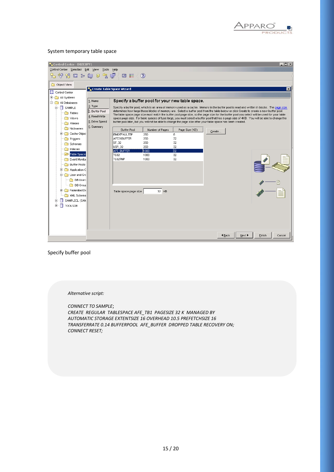

## System temporary table space

| $ \Box$ $\times$<br><b>T. Control Center - DB2COPY1</b><br>Control Center Selected Edit View<br>Tools Help |                |                                                  |                                                 |                       |                                                                                                              |                                                                                                                                                                                                                                                                                           |  |  |
|------------------------------------------------------------------------------------------------------------|----------------|--------------------------------------------------|-------------------------------------------------|-----------------------|--------------------------------------------------------------------------------------------------------------|-------------------------------------------------------------------------------------------------------------------------------------------------------------------------------------------------------------------------------------------------------------------------------------------|--|--|
|                                                                                                            |                | $\blacksquare$ $\blacksquare$ $\langle$ $\Omega$ |                                                 |                       |                                                                                                              |                                                                                                                                                                                                                                                                                           |  |  |
| 七个书 曰: 庳 日 名 厚く                                                                                            |                |                                                  |                                                 |                       |                                                                                                              |                                                                                                                                                                                                                                                                                           |  |  |
| Object View                                                                                                |                |                                                  |                                                 |                       |                                                                                                              |                                                                                                                                                                                                                                                                                           |  |  |
| " Create Table Space Wizard<br>$\mathbf{x}$<br>Control Center                                              |                |                                                  |                                                 |                       |                                                                                                              |                                                                                                                                                                                                                                                                                           |  |  |
| E All Systems                                                                                              |                |                                                  |                                                 |                       |                                                                                                              |                                                                                                                                                                                                                                                                                           |  |  |
| 白 C All Databases                                                                                          | 1. Name        |                                                  | Specify a buffer pool for your new table space. |                       |                                                                                                              |                                                                                                                                                                                                                                                                                           |  |  |
| Ėŀ<br><b>SAMPLE</b>                                                                                        | $ 2.$ Type     |                                                  |                                                 |                       |                                                                                                              | Specify a buffer pool, which is an area of memory used as a cache. Memory in the buffer pool is read and written in blocks. The page size                                                                                                                                                 |  |  |
| <b>Tables</b>                                                                                              | 3. Buffer Pool |                                                  |                                                 |                       |                                                                                                              | determines how large these blocks of memory are. Select a buffer pool from the table below or click Create to create a new buffer pool.                                                                                                                                                   |  |  |
| Views                                                                                                      | 4. Read/Write  |                                                  |                                                 |                       |                                                                                                              | The table space page size must match the buffer pool page size, so the page size for the buffer pool you select will be used for your table<br>space page size. For table spaces of type large, you must select a buffer pool that has a page size of 4KB. You will be able to change the |  |  |
| Aliases                                                                                                    | 5. Drive Speed |                                                  |                                                 |                       | buffer pool later, but you will not be able to change the page size after your table space has been created. |                                                                                                                                                                                                                                                                                           |  |  |
| Nicknames                                                                                                  | 6. Summary     | <b>Buffer Pool</b>                               | Number of Pages                                 | Page Size (KB)        |                                                                                                              |                                                                                                                                                                                                                                                                                           |  |  |
| Cache Objec<br>田一郎                                                                                         |                | <b>IBMDEFAULTBP</b>                              | 250                                             | 8                     | Create                                                                                                       |                                                                                                                                                                                                                                                                                           |  |  |
| Triggers                                                                                                   |                | AFE31BUFFER                                      | 250                                             | 32                    |                                                                                                              |                                                                                                                                                                                                                                                                                           |  |  |
| Schemas                                                                                                    |                | ST 32                                            | 250                                             | 32                    |                                                                                                              |                                                                                                                                                                                                                                                                                           |  |  |
| Indexes                                                                                                    |                | <b>USR 32</b><br>AFE BUFFER                      | 250<br>1000                                     | 32<br>$\overline{32}$ |                                                                                                              |                                                                                                                                                                                                                                                                                           |  |  |
| Table Spaces                                                                                               |                | <b>TS32</b>                                      | 1000                                            | 32                    |                                                                                                              |                                                                                                                                                                                                                                                                                           |  |  |
| Event Monitor                                                                                              |                | TS32TMP                                          | 1000                                            | 32                    |                                                                                                              |                                                                                                                                                                                                                                                                                           |  |  |
| <b>Buffer Pools</b>                                                                                        |                |                                                  |                                                 |                       |                                                                                                              |                                                                                                                                                                                                                                                                                           |  |  |
| Application C<br>国                                                                                         |                |                                                  |                                                 |                       |                                                                                                              |                                                                                                                                                                                                                                                                                           |  |  |
| $\Box$ $\Box$ User and Grd                                                                                 |                |                                                  |                                                 |                       |                                                                                                              |                                                                                                                                                                                                                                                                                           |  |  |
| <b>DB</b> Users                                                                                            |                |                                                  |                                                 |                       |                                                                                                              |                                                                                                                                                                                                                                                                                           |  |  |
| DB Group                                                                                                   |                |                                                  |                                                 |                       |                                                                                                              |                                                                                                                                                                                                                                                                                           |  |  |
| Federated Da<br>国                                                                                          |                | Table space page size                            | 32 KB                                           |                       |                                                                                                              |                                                                                                                                                                                                                                                                                           |  |  |
| XML Schema                                                                                                 |                |                                                  |                                                 |                       |                                                                                                              |                                                                                                                                                                                                                                                                                           |  |  |
| SAMPLECL (SAM<br>匣                                                                                         |                |                                                  |                                                 |                       |                                                                                                              |                                                                                                                                                                                                                                                                                           |  |  |
| П<br>TOOLSDB<br>Ė-                                                                                         |                |                                                  |                                                 |                       |                                                                                                              |                                                                                                                                                                                                                                                                                           |  |  |
|                                                                                                            |                |                                                  |                                                 |                       |                                                                                                              |                                                                                                                                                                                                                                                                                           |  |  |
|                                                                                                            |                |                                                  |                                                 |                       |                                                                                                              |                                                                                                                                                                                                                                                                                           |  |  |
|                                                                                                            |                |                                                  |                                                 |                       |                                                                                                              |                                                                                                                                                                                                                                                                                           |  |  |
|                                                                                                            |                |                                                  |                                                 |                       |                                                                                                              |                                                                                                                                                                                                                                                                                           |  |  |
|                                                                                                            |                |                                                  |                                                 |                       | 4 Back                                                                                                       | Next ▶<br>Finish<br>Cancel                                                                                                                                                                                                                                                                |  |  |

Specify buffer pool

*Alternative script:*

*CONNECT TO SAMPLE*; *CREATE REGULAR TABLESPACE AFE\_TB1 PAGESIZE 32 K MANAGED BY AUTOMATIC STORAGE EXTENTSIZE 16 OVERHEAD 10.5 PREFETCHSIZE 16 TRANSFERRATE 0.14 BUFFERPOOL AFE\_BUFFER DROPPED TABLE RECOVERY ON; CONNECT RESET;*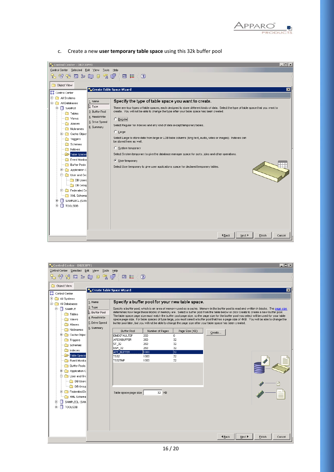

c. Create a new **user temporary table space** using this 32k buffer pool

| Control Center - DB2COPY1<br>Control Center Selected Edit View                                                                                                                                                                                                                                                                                                                                                                                           | $ \Box$ $\times$<br>Tools Help                                                                                                                                                                                                                                                                                                                                                                                                                                                                                                                                                                                                                                                                                                                                                                                                                                                                                                   |
|----------------------------------------------------------------------------------------------------------------------------------------------------------------------------------------------------------------------------------------------------------------------------------------------------------------------------------------------------------------------------------------------------------------------------------------------------------|----------------------------------------------------------------------------------------------------------------------------------------------------------------------------------------------------------------------------------------------------------------------------------------------------------------------------------------------------------------------------------------------------------------------------------------------------------------------------------------------------------------------------------------------------------------------------------------------------------------------------------------------------------------------------------------------------------------------------------------------------------------------------------------------------------------------------------------------------------------------------------------------------------------------------------|
|                                                                                                                                                                                                                                                                                                                                                                                                                                                          | 竹谷田ン奥日久厚〈<br>画 〓く<br>$\odot$                                                                                                                                                                                                                                                                                                                                                                                                                                                                                                                                                                                                                                                                                                                                                                                                                                                                                                     |
| Object View<br><b>22</b> Control Center<br>E All Systems<br><b>E</b> All Databases<br><b>E-</b> SAMPLE<br><b>Tables</b><br>Views<br>Aliases<br>Nicknames<br>田 Cache Objec<br>Triggers<br>Schemas<br>$\Box$ Indexes<br>Table Spaces<br>Event Monitor<br><b>Buffer Pools</b><br>Application C<br>$\overline{+}$<br>⊟ and Gro<br><b>DB</b> Users<br>DB Grout<br>$\Box$ Federated Da<br>围<br>XML Schema<br>SAMPLECL (SAM<br>$+$<br>п<br>中一<br><b>TOOLSDB</b> | Create Table Space Wizard<br>$\vert x \vert$<br>Specify the type of table space you want to create.<br>1. Name<br>$2.$ Type<br>There are four types of table spaces, each designed to store different kinds of data. Select the type of table space that you want to<br>create. You will not be able to change the type after your table space has been created.<br>3. Buffer Pool<br>4. Read/Write<br>C Regular<br>5. Drive Speed<br>Select Regular for indexes and any kind of data except temporary tables.<br>6. Summary<br>$\subset$ Large<br>Select Large to store data from large or LOB table columns (long text, audio, video or images). Indexes can<br>be stored here as well.<br>C System temporary<br>Select System temporary to give the database manager space for sorts, joins and other operations.<br>C User temporary<br>Select User temporary to give user applications space for declared temporary tables. |
|                                                                                                                                                                                                                                                                                                                                                                                                                                                          | <b>4</b> Back<br>Next ▶<br>Finish<br>Cancel                                                                                                                                                                                                                                                                                                                                                                                                                                                                                                                                                                                                                                                                                                                                                                                                                                                                                      |

| $\Box$ D $\Box$<br><b>L.</b> Control Center - DB2COPY1 |                                    |                                    |                 |                                                                                                                                         |               |        |                                                                                                                                                                                                                                                                                           |  |  |  |
|--------------------------------------------------------|------------------------------------|------------------------------------|-----------------|-----------------------------------------------------------------------------------------------------------------------------------------|---------------|--------|-------------------------------------------------------------------------------------------------------------------------------------------------------------------------------------------------------------------------------------------------------------------------------------------|--|--|--|
| Control Center Selected Edit View<br>Tools<br>Help     |                                    |                                    |                 |                                                                                                                                         |               |        |                                                                                                                                                                                                                                                                                           |  |  |  |
|                                                        | 七个公园》距日久卓<br>$\circledcirc$<br>画信く |                                    |                 |                                                                                                                                         |               |        |                                                                                                                                                                                                                                                                                           |  |  |  |
|                                                        |                                    |                                    |                 |                                                                                                                                         |               |        |                                                                                                                                                                                                                                                                                           |  |  |  |
| Object View                                            |                                    |                                    |                 |                                                                                                                                         |               |        |                                                                                                                                                                                                                                                                                           |  |  |  |
| Control Center                                         | Create Table Space Wizard          |                                    |                 |                                                                                                                                         |               |        | $\overline{\mathbf{x}}$                                                                                                                                                                                                                                                                   |  |  |  |
| <b>E</b> All Systems                                   |                                    |                                    |                 |                                                                                                                                         |               |        |                                                                                                                                                                                                                                                                                           |  |  |  |
| 白 C All Databases                                      | 1. Name                            |                                    |                 | Specify a buffer pool for your new table space.                                                                                         |               |        |                                                                                                                                                                                                                                                                                           |  |  |  |
| <b>E-</b> SAMPLE                                       | 2. Type                            |                                    |                 |                                                                                                                                         |               |        | Specify a buffer pool, which is an area of memory used as a cache. Memory in the buffer pool is read and written in blocks. The page size                                                                                                                                                 |  |  |  |
| Tables                                                 | 3. Buffer Pool                     |                                    |                 | determines how large these blocks of memory are. Select a buffer pool from the table below or click Create to create a new buffer pool. |               |        |                                                                                                                                                                                                                                                                                           |  |  |  |
|                                                        | 4. Read/Write                      |                                    |                 |                                                                                                                                         |               |        | The table space page size must match the buffer pool page size, so the page size for the buffer pool you select will be used for your table<br>space page size. For table spaces of type large, you must select a buffer pool that has a page size of 4KB. You will be able to change the |  |  |  |
| Views<br>Aliases                                       | 5. Drive Speed                     |                                    |                 | buffer pool later, but you will not be able to change the page size after your table space has been created.                            |               |        |                                                                                                                                                                                                                                                                                           |  |  |  |
| Nicknames                                              | 6. Summary                         |                                    |                 |                                                                                                                                         |               |        |                                                                                                                                                                                                                                                                                           |  |  |  |
| Cache Object                                           |                                    | <b>Buffer Pool</b>                 | Number of Pages | Page Size (KB)                                                                                                                          | Create        |        |                                                                                                                                                                                                                                                                                           |  |  |  |
| Triggers                                               |                                    | <b>IBMDEFAULTBP</b><br>AFE31BUFFER | 250<br>250      | 8<br>32                                                                                                                                 |               |        |                                                                                                                                                                                                                                                                                           |  |  |  |
| Schemas                                                |                                    | ST_32                              | 250             | 32                                                                                                                                      |               |        |                                                                                                                                                                                                                                                                                           |  |  |  |
| Indexes                                                |                                    | USR_32                             | 250             | 32                                                                                                                                      |               |        |                                                                                                                                                                                                                                                                                           |  |  |  |
| Table Spaces                                           |                                    | AFE BUFFER                         | 1000            | 32                                                                                                                                      |               |        |                                                                                                                                                                                                                                                                                           |  |  |  |
| Event Monitor                                          |                                    | <b>TS32</b><br>TS32TMP             | 1000<br>1000    | 32<br>32                                                                                                                                |               |        |                                                                                                                                                                                                                                                                                           |  |  |  |
| <b>Buffer Pools</b>                                    |                                    |                                    |                 |                                                                                                                                         |               |        |                                                                                                                                                                                                                                                                                           |  |  |  |
| 田 Application C                                        |                                    |                                    |                 |                                                                                                                                         |               |        |                                                                                                                                                                                                                                                                                           |  |  |  |
| <b>E-C</b> User and Grd                                |                                    |                                    |                 |                                                                                                                                         |               |        |                                                                                                                                                                                                                                                                                           |  |  |  |
| <b>DB</b> Users                                        |                                    |                                    |                 |                                                                                                                                         |               |        |                                                                                                                                                                                                                                                                                           |  |  |  |
| <b>DB</b> Group                                        |                                    |                                    |                 |                                                                                                                                         |               |        |                                                                                                                                                                                                                                                                                           |  |  |  |
| E Federated Da                                         |                                    |                                    |                 |                                                                                                                                         |               |        |                                                                                                                                                                                                                                                                                           |  |  |  |
| XML Schema                                             |                                    | Table space page size              | 32 KB           |                                                                                                                                         |               |        |                                                                                                                                                                                                                                                                                           |  |  |  |
| SAMPLECL (SAM<br>由<br>п                                |                                    |                                    |                 |                                                                                                                                         |               |        |                                                                                                                                                                                                                                                                                           |  |  |  |
| ⊕ ⊓<br>TOOLSDB                                         |                                    |                                    |                 |                                                                                                                                         |               |        |                                                                                                                                                                                                                                                                                           |  |  |  |
|                                                        |                                    |                                    |                 |                                                                                                                                         |               |        |                                                                                                                                                                                                                                                                                           |  |  |  |
|                                                        |                                    |                                    |                 |                                                                                                                                         |               |        |                                                                                                                                                                                                                                                                                           |  |  |  |
|                                                        |                                    |                                    |                 |                                                                                                                                         |               |        |                                                                                                                                                                                                                                                                                           |  |  |  |
|                                                        |                                    |                                    |                 |                                                                                                                                         |               |        |                                                                                                                                                                                                                                                                                           |  |  |  |
|                                                        |                                    |                                    |                 |                                                                                                                                         |               |        |                                                                                                                                                                                                                                                                                           |  |  |  |
|                                                        |                                    |                                    |                 |                                                                                                                                         | <b>4</b> Back | Next ▶ | Einish<br>Cancel                                                                                                                                                                                                                                                                          |  |  |  |
|                                                        |                                    |                                    |                 |                                                                                                                                         |               |        |                                                                                                                                                                                                                                                                                           |  |  |  |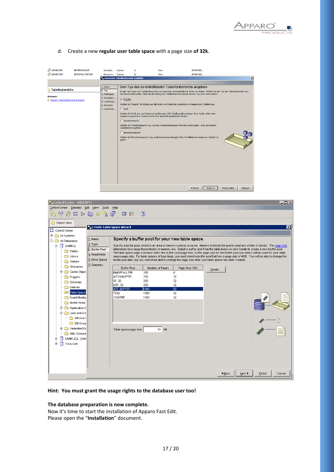

## d. Create a new **regular user table space** with a page size **of 32k**.

| APPAROTB1                                                       | <b>IBMTEMPGROUP</b>    | Systemte System                                                                                   |                                 | Ja.                                                               | <b>Nein</b>                                                             | APPAROBU                                                                                                                                                                                                                                                                                                                                                                                                                                                                                                                                                                                                                                                                                                                               |                 |  |  |  |
|-----------------------------------------------------------------|------------------------|---------------------------------------------------------------------------------------------------|---------------------------------|-------------------------------------------------------------------|-------------------------------------------------------------------------|----------------------------------------------------------------------------------------------------------------------------------------------------------------------------------------------------------------------------------------------------------------------------------------------------------------------------------------------------------------------------------------------------------------------------------------------------------------------------------------------------------------------------------------------------------------------------------------------------------------------------------------------------------------------------------------------------------------------------------------|-----------------|--|--|--|
| <b>BO</b> APPAROTB2                                             | <b>TRMDEFAULTGROUP</b> | Benutzert System                                                                                  |                                 | <b>1a</b>                                                         | Nein                                                                    | APPAR OBIL                                                                                                                                                                                                                                                                                                                                                                                                                                                                                                                                                                                                                                                                                                                             |                 |  |  |  |
|                                                                 |                        | Assistent: Tabellenbereich erstellen                                                              |                                 |                                                                   |                                                                         |                                                                                                                                                                                                                                                                                                                                                                                                                                                                                                                                                                                                                                                                                                                                        | $\vert x \vert$ |  |  |  |
| Tabellenbereiche<br>ktionen:<br>Neuen Tabellenbereich ersteller |                        | 1. Name<br>2. Typ<br>3. Pufferpool<br>4. Schreiben/<br>5. Laufwerkg<br>6. Recovery<br>7. Zusammen | C Regulär<br>$C$ Groß<br>geben. | $C$ Systemtemporär<br>Operationen zu geben.<br>C Benutzertemporär | Images) zu speichern. Indizes können hier ebenfalls gespeichert werden. | Den Typ des zu erstellenden Tabellenbereichs angeben<br>Es gibt vier Typen von Tabellenbereichen zum Speichern unterschiedlicher Arten von Daten. Wählen Sie den Typ des Tabellenbereichs aus,<br>den Sie erstellen wollen. Nach der Erstellung des Tabellenbereichs können Sie den Typ nicht mehr ändern.<br>Wählen Sie 'Regulär' für Indizes und alle Arten von Daten mit Ausnahme von temporären Tabellen aus.<br>Wählen Sie 'Groß' aus, um Daten aus großen oder LOB-Tabellenspalten (langer Text, Audio, Video oder<br>Wählen Sie 'Systemtemporär' aus, um dem Datenbankmanager Platz für Sortierungen, Joins und andere<br>Wählen Sie 'Benutzertemporär' aus, um Benutzeranwendungen Platz für deklarierte temporäre Tabellen zu |                 |  |  |  |
|                                                                 |                        | Abbruch<br>4 Zurück<br>Weiter I<br>Fertig stellen                                                 |                                 |                                                                   |                                                                         |                                                                                                                                                                                                                                                                                                                                                                                                                                                                                                                                                                                                                                                                                                                                        |                 |  |  |  |

| $\Box$<br><b>T. Control Center - DB2COPY1</b>                                         |                           |                                                                                                                                                                                                                                                                                      |                 |                |               |                                                                                                                                             |  |  |  |  |  |  |  |
|---------------------------------------------------------------------------------------|---------------------------|--------------------------------------------------------------------------------------------------------------------------------------------------------------------------------------------------------------------------------------------------------------------------------------|-----------------|----------------|---------------|---------------------------------------------------------------------------------------------------------------------------------------------|--|--|--|--|--|--|--|
| Control Center Selected Edit View<br>Tools Help                                       |                           |                                                                                                                                                                                                                                                                                      |                 |                |               |                                                                                                                                             |  |  |  |  |  |  |  |
| $\mathbb{R}$ $\mathbb{S}$ $\mathbb{R}$ is a teg deform to $\mathbb{R}$ , $\mathbb{Q}$ |                           |                                                                                                                                                                                                                                                                                      |                 |                |               |                                                                                                                                             |  |  |  |  |  |  |  |
| Object View                                                                           |                           |                                                                                                                                                                                                                                                                                      |                 |                |               |                                                                                                                                             |  |  |  |  |  |  |  |
| Control Center                                                                        | Create Table Space Wizard |                                                                                                                                                                                                                                                                                      |                 |                |               | $\overline{\mathbf{x}}$                                                                                                                     |  |  |  |  |  |  |  |
| E All Systems                                                                         |                           |                                                                                                                                                                                                                                                                                      |                 |                |               |                                                                                                                                             |  |  |  |  |  |  |  |
| 白 <b>Contra All Databases</b>                                                         | $1.$ Name                 | Specify a buffer pool for your new table space.                                                                                                                                                                                                                                      |                 |                |               |                                                                                                                                             |  |  |  |  |  |  |  |
| <b>E- SAMPLE</b>                                                                      | $ 2.$ Type                | Specify a buffer pool, which is an area of memory used as a cache. Memory in the buffer pool is read and written in blocks. The page size<br>determines how large these blocks of memory are. Select a buffer pool from the table below or click Create to create a new buffer pool. |                 |                |               |                                                                                                                                             |  |  |  |  |  |  |  |
| <b>Tables</b>                                                                         | 3. Buffer Pool            |                                                                                                                                                                                                                                                                                      |                 |                |               | The table space page size must match the buffer pool page size, so the page size for the buffer pool you select will be used for your table |  |  |  |  |  |  |  |
| Views                                                                                 | 5. Drive Speed            | 4. Read/Write<br>space page size. For table spaces of type large, you must select a buffer pool that has a page size of 4KB. You will be able to change the<br>buffer pool later, but you will not be able to change the page size after your table space has been created.          |                 |                |               |                                                                                                                                             |  |  |  |  |  |  |  |
| Aliases                                                                               | 6. Summary                |                                                                                                                                                                                                                                                                                      |                 |                |               |                                                                                                                                             |  |  |  |  |  |  |  |
| Nicknames<br>Cache Objec<br>田                                                         |                           | <b>Buffer Pool</b>                                                                                                                                                                                                                                                                   | Number of Pages | Page Size (KB) | Create        |                                                                                                                                             |  |  |  |  |  |  |  |
| Triggers                                                                              |                           | <b>IBMDEFAULTBP</b><br>AFE31BUFFER                                                                                                                                                                                                                                                   | 250<br>250      | 8<br>32        |               |                                                                                                                                             |  |  |  |  |  |  |  |
| Schemas                                                                               |                           | ST 32                                                                                                                                                                                                                                                                                | 250             | 32             |               |                                                                                                                                             |  |  |  |  |  |  |  |
| Indexes                                                                               |                           | USR 32<br>AFE_BUFFER                                                                                                                                                                                                                                                                 | 250<br>1000     | 32<br>32       |               |                                                                                                                                             |  |  |  |  |  |  |  |
| Table Spaces                                                                          |                           | <b>TS32</b>                                                                                                                                                                                                                                                                          | 1000            | 32             |               |                                                                                                                                             |  |  |  |  |  |  |  |
| Event Monitor                                                                         |                           | TS32TMP                                                                                                                                                                                                                                                                              | 1000            | 32             |               |                                                                                                                                             |  |  |  |  |  |  |  |
| <b>Buffer Pools</b>                                                                   |                           |                                                                                                                                                                                                                                                                                      |                 |                |               |                                                                                                                                             |  |  |  |  |  |  |  |
| Application C<br>Œ                                                                    |                           |                                                                                                                                                                                                                                                                                      |                 |                |               |                                                                                                                                             |  |  |  |  |  |  |  |
| <b>E-C</b> User and Grd                                                               |                           |                                                                                                                                                                                                                                                                                      |                 |                |               |                                                                                                                                             |  |  |  |  |  |  |  |
| DB Users<br>DB Group                                                                  |                           |                                                                                                                                                                                                                                                                                      |                 |                |               |                                                                                                                                             |  |  |  |  |  |  |  |
| Federated Da                                                                          |                           |                                                                                                                                                                                                                                                                                      | 32 KB           |                |               |                                                                                                                                             |  |  |  |  |  |  |  |
| XML Schema                                                                            |                           | Table space page size                                                                                                                                                                                                                                                                |                 |                |               |                                                                                                                                             |  |  |  |  |  |  |  |
| SAMPLECL (SAM<br>匣                                                                    |                           |                                                                                                                                                                                                                                                                                      |                 |                |               |                                                                                                                                             |  |  |  |  |  |  |  |
| <b>TOOLSDB</b><br>п                                                                   |                           |                                                                                                                                                                                                                                                                                      |                 |                |               |                                                                                                                                             |  |  |  |  |  |  |  |
|                                                                                       |                           |                                                                                                                                                                                                                                                                                      |                 |                |               |                                                                                                                                             |  |  |  |  |  |  |  |
|                                                                                       |                           |                                                                                                                                                                                                                                                                                      |                 |                |               |                                                                                                                                             |  |  |  |  |  |  |  |
|                                                                                       |                           |                                                                                                                                                                                                                                                                                      |                 |                |               |                                                                                                                                             |  |  |  |  |  |  |  |
|                                                                                       |                           |                                                                                                                                                                                                                                                                                      |                 |                |               |                                                                                                                                             |  |  |  |  |  |  |  |
|                                                                                       |                           |                                                                                                                                                                                                                                                                                      |                 |                | <b>4 Back</b> | Next ▶<br>Finish<br>Cancel                                                                                                                  |  |  |  |  |  |  |  |
|                                                                                       |                           |                                                                                                                                                                                                                                                                                      |                 |                |               |                                                                                                                                             |  |  |  |  |  |  |  |

## **Hint: You must grant the usage rights to the database user too!**

## **The database preparation is now complete.**

Now it's time to start the installation of Apparo Fast Edit. Please open the "**Installation**" document.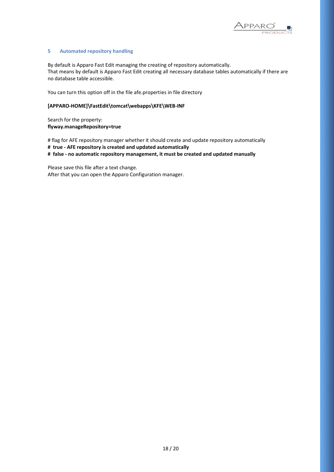

#### **5 Automated repository handling**

By default is Apparo Fast Edit managing the creating of repository automatically. That means by default is Apparo Fast Edit creating all necessary database tables automatically if there are no database table accessible.

You can turn this option off in the file afe.properties in file directory

## **[APPARO-HOME]\FastEdit\tomcat\webapps\KFE\WEB-INF**

Search for the property: **flyway.manageRepository=true**

# flag for AFE repository manager whether it should create and update repository automatically

**# true - AFE repository is created and updated automatically**

**# false - no automatic repository management, it must be created and updated manually**

Please save this file after a text change. After that you can open the Apparo Configuration manager.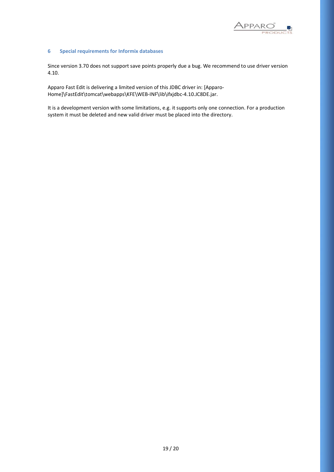

#### **6 Special requirements for Informix databases**

Since version 3.70 does not support save points properly due a bug. We recommend to use driver version 4.10.

Apparo Fast Edit is delivering a limited version of this JDBC driver in: [Apparo-Home]\FastEdit\tomcat\webapps\KFE\WEB-INF\lib\ifxjdbc-4.10.JC8DE.jar.

It is a development version with some limitations, e.g. it supports only one connection. For a production system it must be deleted and new valid driver must be placed into the directory.